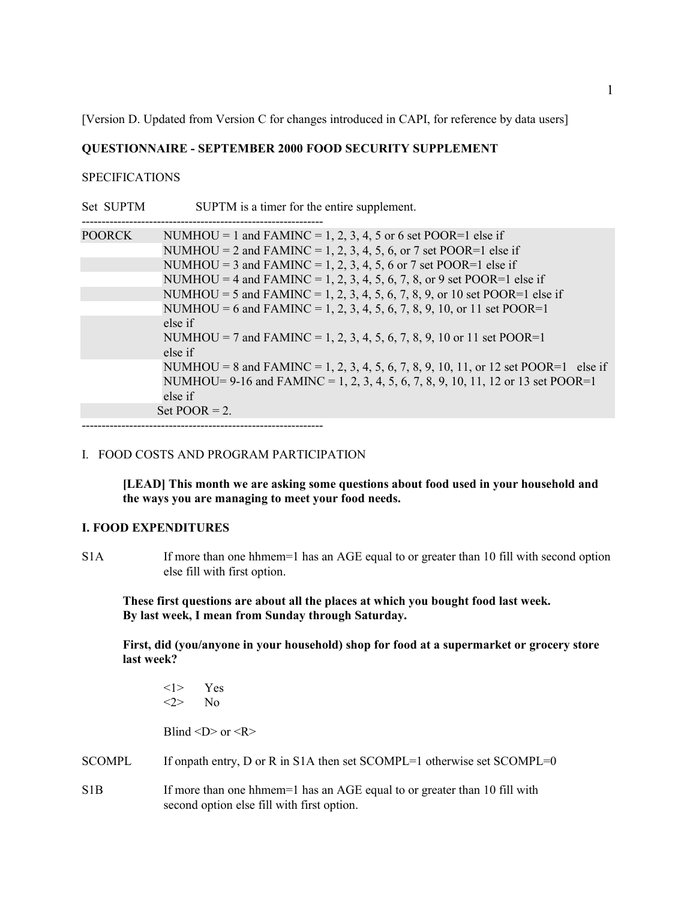[Version D. Updated from Version C for changes introduced in CAPI, for reference by data users]

## **QUESTIONNAIRE - SEPTEMBER 2000 FOOD SECURITY SUPPLEMENT**

### **SPECIFICATIONS**

Set SUPTM SUPTM is a timer for the entire supplement.

| <b>POORCK</b> | NUMHOU = 1 and FAMINC = 1, 2, 3, 4, 5 or 6 set POOR=1 else if                       |
|---------------|-------------------------------------------------------------------------------------|
|               | NUMHOU = 2 and FAMINC = 1, 2, 3, 4, 5, 6, or 7 set POOR=1 else if                   |
|               | NUMHOU = 3 and FAMINC = 1, 2, 3, 4, 5, 6 or 7 set POOR=1 else if                    |
|               | NUMHOU = 4 and FAMINC = 1, 2, 3, 4, 5, 6, 7, 8, or 9 set POOR=1 else if             |
|               | NUMHOU = 5 and FAMINC = 1, 2, 3, 4, 5, 6, 7, 8, 9, or 10 set POOR=1 else if         |
|               | NUMHOU = 6 and FAMINC = 1, 2, 3, 4, 5, 6, 7, 8, 9, 10, or 11 set POOR=1             |
|               | else if                                                                             |
|               | NUMHOU = 7 and FAMINC = 1, 2, 3, 4, 5, 6, 7, 8, 9, 10 or 11 set POOR=1              |
|               | else if                                                                             |
|               | NUMHOU = 8 and FAMINC = 1, 2, 3, 4, 5, 6, 7, 8, 9, 10, 11, or 12 set POOR=1 else if |
|               | NUMHOU= 9-16 and FAMINC = 1, 2, 3, 4, 5, 6, 7, 8, 9, 10, 11, 12 or 13 set POOR=1    |
|               | else if                                                                             |
|               | Set POOR $= 2$ .                                                                    |

-------------------------------------------------------------

#### I. FOOD COSTS AND PROGRAM PARTICIPATION

**[LEAD] This month we are asking some questions about food used in your household and the ways you are managing to meet your food needs.**

### **I. FOOD EXPENDITURES**

S1A If more than one hhmem=1 has an AGE equal to or greater than 10 fill with second option else fill with first option.

**These first questions are about all the places at which you bought food last week. By last week, I mean from Sunday through Saturday.**

**First, did (you/anyone in your household) shop for food at a supermarket or grocery store last week?**

| $\langle$ 1> Yes<br>$\langle 2 \rangle$ No |                                                  |
|--------------------------------------------|--------------------------------------------------|
|                                            | Blind $\langle D \rangle$ or $\langle R \rangle$ |

SCOMPL If onpath entry, D or R in S1A then set SCOMPL=1 otherwise set SCOMPL=0

S1B If more than one hhmem=1 has an AGE equal to or greater than 10 fill with second option else fill with first option.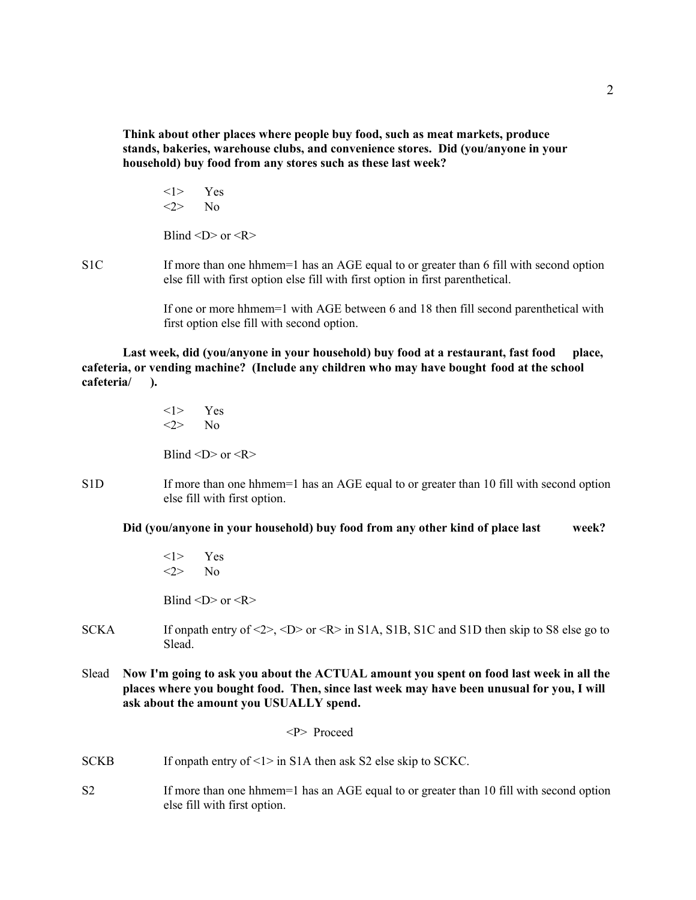**Think about other places where people buy food, such as meat markets, produce stands, bakeries, warehouse clubs, and convenience stores. Did (you/anyone in your household) buy food from any stores such as these last week?**

<1> Yes  $\langle 2 \rangle$  No Blind  $\langle D \rangle$  or  $\langle R \rangle$ 

S1C If more than one hhmem=1 has an AGE equal to or greater than 6 fill with second option

else fill with first option else fill with first option in first parenthetical. If one or more hhmem=1 with AGE between 6 and 18 then fill second parenthetical with

first option else fill with second option.

**Last week, did (you/anyone in your household) buy food at a restaurant, fast food place, cafeteria, or vending machine? (Include any children who may have bought food at the school cafeteria/ ).**

> <1> Yes  $\langle 2 \rangle$  No Blind  $\langle D \rangle$  or  $\langle R \rangle$

S1D If more than one hhmem=1 has an AGE equal to or greater than 10 fill with second option else fill with first option.

**Did (you/anyone in your household) buy food from any other kind of place last week?**

<1> Yes  $\langle 2 \rangle$  No

Blind  $\langle D \rangle$  or  $\langle R \rangle$ 

- SCKA If onpath entry of  $\langle 2 \rangle$ ,  $\langle D \rangle$  or  $\langle R \rangle$  in S1A, S1B, S1C and S1D then skip to S8 else go to Slead.
- Slead **Now I'm going to ask you about the ACTUAL amount you spent on food last week in all the places where you bought food. Then, since last week may have been unusual for you, I will ask about the amount you USUALLY spend.**

<P> Proceed

- SCKB If onpath entry of <1> in S1A then ask S2 else skip to SCKC.
- S2 If more than one hhmem=1 has an AGE equal to or greater than 10 fill with second option else fill with first option.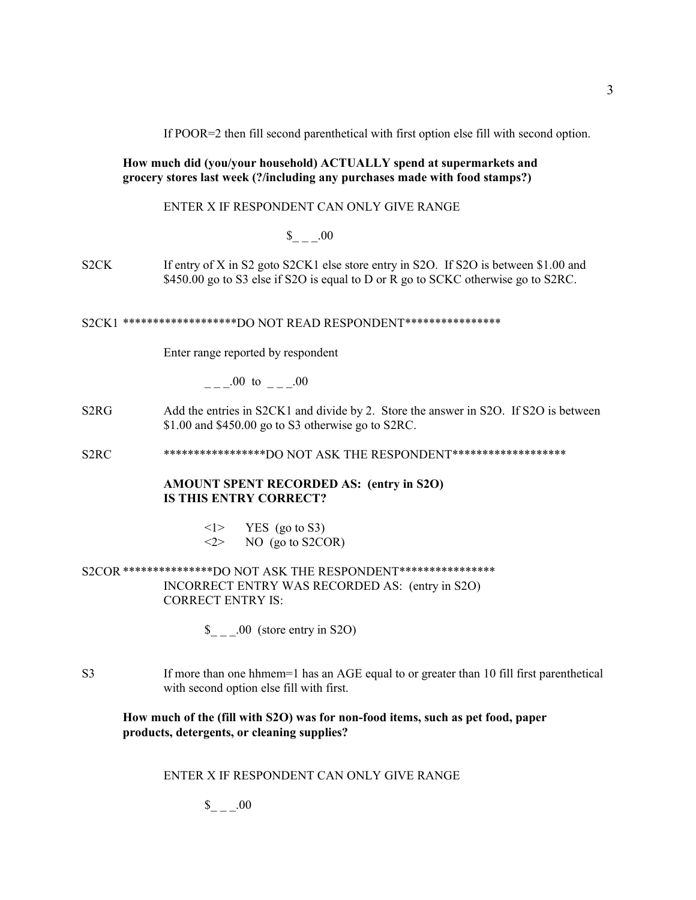If POOR=2 then fill second parenthetical with first option else fill with second option.

### **How much did (you/your household) ACTUALLY spend at supermarkets and grocery stores last week (?/including any purchases made with food stamps?)**

### ENTER X IF RESPONDENT CAN ONLY GIVE RANGE

# $\$\quad .00$

S2CK If entry of X in S2 goto S2CK1 else store entry in S2O. If S2O is between \$1.00 and \$450.00 go to S3 else if S2O is equal to D or R go to SCKC otherwise go to S2RC.

#### S2CK1 \*\*\*\*\*\*\*\*\*\*\*\*\*\*\*\*\*\*\*DO NOT READ RESPONDENT\*\*\*\*\*\*\*\*\*\*\*\*\*\*\*\*

Enter range reported by respondent

 $.00 \text{ to } .00$ 

S2RG Add the entries in S2CK1 and divide by 2. Store the answer in S2O. If S2O is between \$1.00 and \$450.00 go to S3 otherwise go to S2RC.

S2RC \*\*\*\*\*\*\*\*\*\*\*\*\*\*\*\*\*\*DO NOT ASK THE RESPONDENT\*\*\*\*\*\*\*\*\*\*\*\*\*\*\*\*\*\*\*

#### **AMOUNT SPENT RECORDED AS: (entry in S2O) IS THIS ENTRY CORRECT?**

 $\langle$ 1> YES (go to S3)  $\langle 2 \rangle$  NO (go to S2COR)

## S2COR \*\*\*\*\*\*\*\*\*\*\*\*\*\*\*DO NOT ASK THE RESPONDENT\*\*\*\*\*\*\*\*\*\*\*\*\*\*\*\* INCORRECT ENTRY WAS RECORDED AS: (entry in S2O) CORRECT ENTRY IS:

 $\frac{\S_{-}}{\S_{-}}$ .00 (store entry in S2O)

S3 If more than one hhmem=1 has an AGE equal to or greater than 10 fill first parenthetical with second option else fill with first.

### **How much of the (fill with S2O) was for non-food items, such as pet food, paper products, detergents, or cleaning supplies?**

### ENTER X IF RESPONDENT CAN ONLY GIVE RANGE

 $_{\sim -1}$   $-00$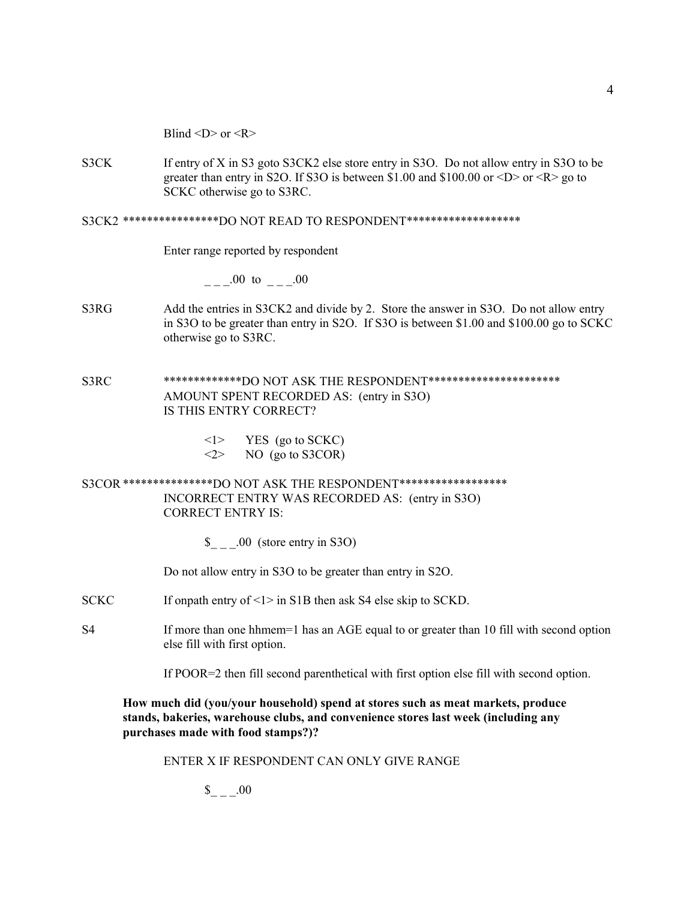Blind  $\langle D \rangle$  or  $\langle R \rangle$ 

S3CK If entry of X in S3 goto S3CK2 else store entry in S3O. Do not allow entry in S3O to be greater than entry in S2O. If S3O is between \$1.00 and \$100.00 or <D> or <R> go to SCKC otherwise go to S3RC.

#### S3CK2 \*\*\*\*\*\*\*\*\*\*\*\*\*\*\*\*DO NOT READ TO RESPONDENT\*\*\*\*\*\*\*\*\*\*\*\*\*\*\*\*\*\*\*

Enter range reported by respondent

 $\frac{1}{2} - 0.00 \text{ to } \frac{1}{2} - 0.00$ 

- S3RG Add the entries in S3CK2 and divide by 2. Store the answer in S3O. Do not allow entry in S3O to be greater than entry in S2O. If S3O is between \$1.00 and \$100.00 go to SCKC otherwise go to S3RC.
- S3RC \*\*\*\*\*\*\*\*\*\*\*\*\*DO NOT ASK THE RESPONDENT\*\*\*\*\*\*\*\*\*\*\*\*\*\*\*\*\*\*\*\*\*\* AMOUNT SPENT RECORDED AS: (entry in S3O) IS THIS ENTRY CORRECT?
	- $\langle$ 1> YES (go to SCKC)  $\langle 2 \rangle$  NO (go to S3COR)

S3COR \*\*\*\*\*\*\*\*\*\*\*\*\*\*\*DO NOT ASK THE RESPONDENT\*\*\*\*\*\*\*\*\*\*\*\*\*\*\*\*\*\* INCORRECT ENTRY WAS RECORDED AS: (entry in S3O) CORRECT ENTRY IS:

\$ .00 (store entry in S3O)

Do not allow entry in S3O to be greater than entry in S2O.

- SCKC If onpath entry of <1> in S1B then ask S4 else skip to SCKD.
- S4 If more than one hhmem=1 has an AGE equal to or greater than 10 fill with second option else fill with first option.

If POOR=2 then fill second parenthetical with first option else fill with second option.

**How much did (you/your household) spend at stores such as meat markets, produce stands, bakeries, warehouse clubs, and convenience stores last week (including any purchases made with food stamps?)?**

ENTER X IF RESPONDENT CAN ONLY GIVE RANGE

 $\$\quad .00$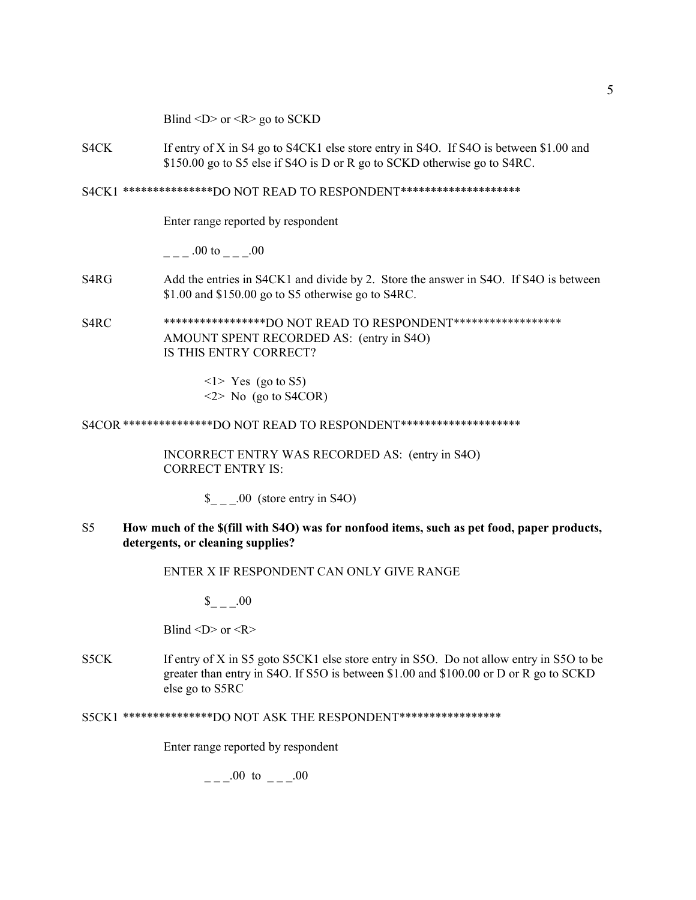Blind  $\langle D \rangle$  or  $\langle R \rangle$  go to SCKD

S4CK If entry of X in S4 go to S4CK1 else store entry in S4O. If S4O is between \$1.00 and \$150.00 go to S5 else if S4O is D or R go to SCKD otherwise go to S4RC.

S4CK1 \*\*\*\*\*\*\*\*\*\*\*\*\*\*\*DO NOT READ TO RESPONDENT\*\*\*\*\*\*\*\*\*\*\*\*\*\*\*\*\*\*\*\*

Enter range reported by respondent

 $\frac{1}{2}$  .00 to  $\frac{0}{2}$  .00

- S4RG Add the entries in S4CK1 and divide by 2. Store the answer in S4O. If S4O is between \$1.00 and \$150.00 go to S5 otherwise go to S4RC.
- S4RC \*\*\*\*\*\*\*\*\*\*\*\*\*\*\*\*\*DO NOT READ TO RESPONDENT\*\*\*\*\*\*\*\*\*\*\*\*\*\*\*\*\*\* AMOUNT SPENT RECORDED AS: (entry in S4O) IS THIS ENTRY CORRECT?

 $\langle$ 1> Yes (go to S5)  $\leq$  No (go to S4COR)

S4COR \*\*\*\*\*\*\*\*\*\*\*\*\*\*\*DO NOT READ TO RESPONDENT\*\*\*\*\*\*\*\*\*\*\*\*\*\*\*\*\*\*\*\*

INCORRECT ENTRY WAS RECORDED AS: (entry in S4O) CORRECT ENTRY IS:

\$ .00 (store entry in S4O)

S5 **How much of the \$(fill with S4O) was for nonfood items, such as pet food, paper products, detergents, or cleaning supplies?**

ENTER X IF RESPONDENT CAN ONLY GIVE RANGE

 $\$\quad .00$ 

Blind  $\langle D \rangle$  or  $\langle R \rangle$ 

S5CK If entry of X in S5 goto S5CK1 else store entry in S5O. Do not allow entry in S5O to be greater than entry in S4O. If S5O is between \$1.00 and \$100.00 or D or R go to SCKD else go to S5RC

S5CK1 \*\*\*\*\*\*\*\*\*\*\*\*\*\*\*DO NOT ASK THE RESPONDENT\*\*\*\*\*\*\*\*\*\*\*\*\*\*\*\*\*

Enter range reported by respondent

 $.00 \text{ to } .00$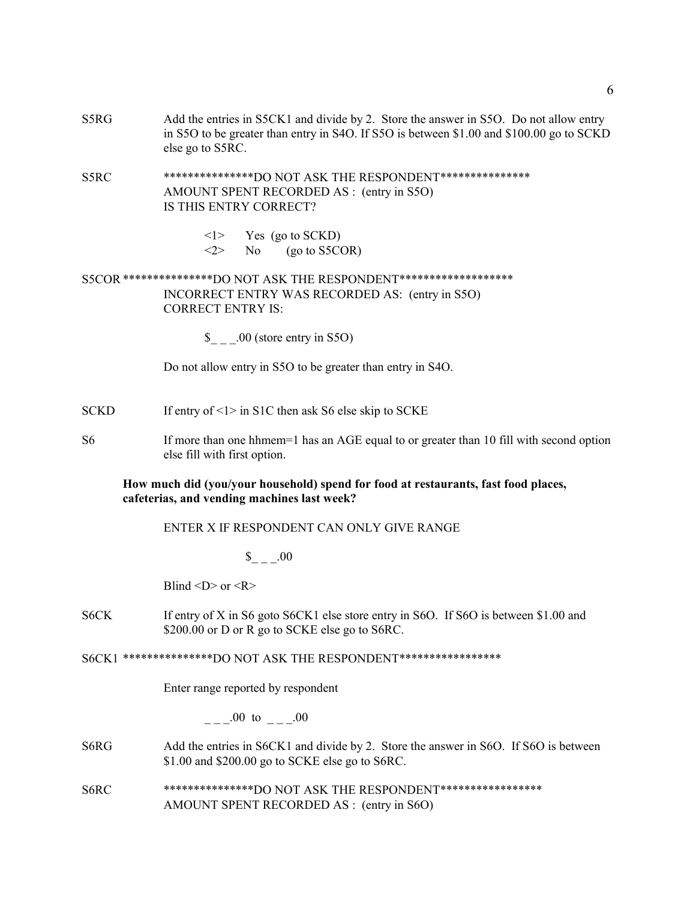S5RG Add the entries in S5CK1 and divide by 2. Store the answer in S5O. Do not allow entry in S5O to be greater than entry in S4O. If S5O is between \$1.00 and \$100.00 go to SCKD else go to S5RC.

S5RC \*\*\*\*\*\*\*\*\*\*\*\*\*\*\*\*DO NOT ASK THE RESPONDENT\*\*\*\*\*\*\*\*\*\*\*\*\*\*\* AMOUNT SPENT RECORDED AS : (entry in S5O) IS THIS ENTRY CORRECT?

> $\langle$ 1> Yes (go to SCKD)  $\langle 2 \rangle$  No (go to S5COR)

S5COR \*\*\*\*\*\*\*\*\*\*\*\*\*\*\*DO NOT ASK THE RESPONDENT\*\*\*\*\*\*\*\*\*\*\*\*\*\*\*\*\*\*\* INCORRECT ENTRY WAS RECORDED AS: (entry in S5O) CORRECT ENTRY IS:

 $\$\qquad$  .00 (store entry in S5O)

Do not allow entry in S5O to be greater than entry in S4O.

- SCKD If entry of  $\leq 1$  in S1C then ask S6 else skip to SCKE
- S6 If more than one hhmem=1 has an AGE equal to or greater than 10 fill with second option else fill with first option.

### **How much did (you/your household) spend for food at restaurants, fast food places, cafeterias, and vending machines last week?**

ENTER X IF RESPONDENT CAN ONLY GIVE RANGE

 $\$\quad .00$ 

Blind  $\langle D \rangle$  or  $\langle R \rangle$ 

S6CK If entry of X in S6 goto S6CK1 else store entry in S6O. If S6O is between \$1.00 and \$200.00 or D or R go to SCKE else go to S6RC.

S6CK1 \*\*\*\*\*\*\*\*\*\*\*\*\*\*\*DO NOT ASK THE RESPONDENT\*\*\*\*\*\*\*\*\*\*\*\*\*\*\*\*\*

Enter range reported by respondent

 $.00 \text{ to } .00$ 

- S6RG Add the entries in S6CK1 and divide by 2. Store the answer in S6O. If S6O is between \$1.00 and \$200.00 go to SCKE else go to S6RC.
- S6RC \*\*\*\*\*\*\*\*\*\*\*\*\*\*\*DO NOT ASK THE RESPONDENT\*\*\*\*\*\*\*\*\*\*\*\*\*\*\*\*\* AMOUNT SPENT RECORDED AS : (entry in S6O)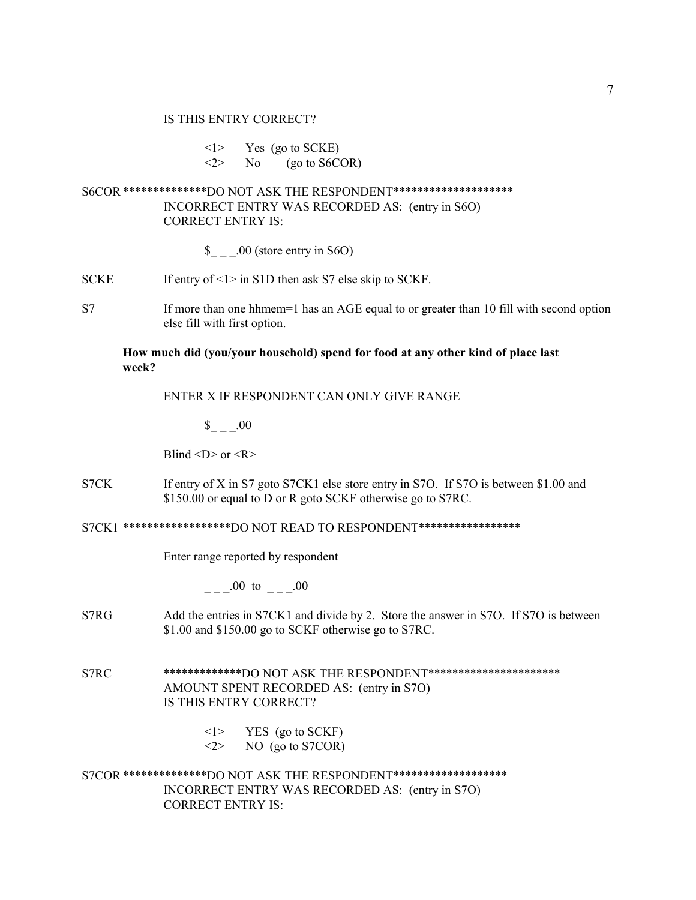<1> Yes (go to SCKE)

 $\langle 2 \rangle$  No (go to S6COR)

## S6COR \*\*\*\*\*\*\*\*\*\*\*\*\*\*DO NOT ASK THE RESPONDENT\*\*\*\*\*\*\*\*\*\*\*\*\*\*\*\*\*\*\*\* INCORRECT ENTRY WAS RECORDED AS: (entry in S6O) CORRECT ENTRY IS:

- \$ .00 (store entry in S6O)
- SCKE If entry of  $\leq 1$  in S1D then ask S7 else skip to SCKF.
- S7 If more than one hhmem=1 has an AGE equal to or greater than 10 fill with second option else fill with first option.

### **How much did (you/your household) spend for food at any other kind of place last week?**

ENTER X IF RESPONDENT CAN ONLY GIVE RANGE

 $\$\quad .00$ 

Blind  $\langle D \rangle$  or  $\langle R \rangle$ 

S7CK If entry of X in S7 goto S7CK1 else store entry in S7O. If S7O is between \$1.00 and \$150.00 or equal to D or R goto SCKF otherwise go to S7RC.

S7CK1 \*\*\*\*\*\*\*\*\*\*\*\*\*\*\*\*\*\*DO NOT READ TO RESPONDENT\*\*\*\*\*\*\*\*\*\*\*\*\*\*\*\*\*

Enter range reported by respondent

 $.00 \text{ to } .00$ 

- S7RG Add the entries in S7CK1 and divide by 2. Store the answer in S7O. If S7O is between \$1.00 and \$150.00 go to SCKF otherwise go to S7RC.
- S7RC \*\*\*\*\*\*\*\*\*\*\*\*\*DO NOT ASK THE RESPONDENT\*\*\*\*\*\*\*\*\*\*\*\*\*\*\*\*\*\*\*\*\* AMOUNT SPENT RECORDED AS: (entry in S7O) IS THIS ENTRY CORRECT?
	- $\langle$ 1> YES (go to SCKF) <2> NO (go to S7COR)

S7COR \*\*\*\*\*\*\*\*\*\*\*\*\*\*DO NOT ASK THE RESPONDENT\*\*\*\*\*\*\*\*\*\*\*\*\*\*\*\*\*\*\* INCORRECT ENTRY WAS RECORDED AS: (entry in S7O) CORRECT ENTRY IS: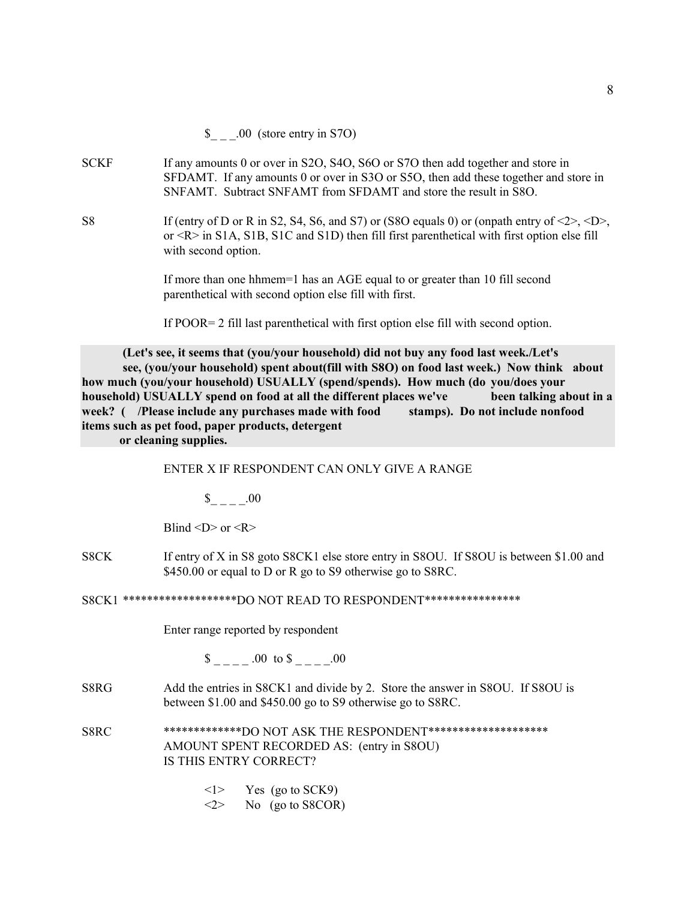- SCKF If any amounts 0 or over in S2O, S4O, S6O or S7O then add together and store in SFDAMT. If any amounts 0 or over in S3O or S5O, then add these together and store in SNFAMT. Subtract SNFAMT from SFDAMT and store the result in S8O.
- S8 If (entry of D or R in S2, S4, S6, and S7) or (S8O equals 0) or (onpath entry of  $\langle 2 \rangle$ ,  $\langle D \rangle$ , or <R> in S1A, S1B, S1C and S1D) then fill first parenthetical with first option else fill with second option.

If more than one hhmem=1 has an AGE equal to or greater than 10 fill second parenthetical with second option else fill with first.

If POOR= 2 fill last parenthetical with first option else fill with second option.

**(Let's see, it seems that (you/your household) did not buy any food last week./Let's see, (you/your household) spent about(fill with S8O) on food last week.) Now think about how much (you/your household) USUALLY (spend/spends). How much (do you/does your household) USUALLY spend on food at all the different places we've been talking about in a week? ( /Please include any purchases made with food stamps). Do not include nonfood items such as pet food, paper products, detergent**

 **or cleaning supplies.**

ENTER X IF RESPONDENT CAN ONLY GIVE A RANGE

 $\frac{\S_{-}}{\S_{-}} = -$ .00

Blind  $\langle D \rangle$  or  $\langle R \rangle$ 

S8CK If entry of X in S8 goto S8CK1 else store entry in S8OU. If S8OU is between \$1.00 and \$450.00 or equal to D or R go to S9 otherwise go to S8RC.

S8CK1 \*\*\*\*\*\*\*\*\*\*\*\*\*\*\*\*\*\*\*DO NOT READ TO RESPONDENT\*\*\*\*\*\*\*\*\*\*\*\*\*\*\*\*

Enter range reported by respondent

\$ .00 to \$ .00

S8RG Add the entries in S8CK1 and divide by 2. Store the answer in S8OU. If S8OU is between \$1.00 and \$450.00 go to S9 otherwise go to S8RC.

S8RC \*\*\*\*\*\*\*\*\*\*\*\*\*DO NOT ASK THE RESPONDENT\*\*\*\*\*\*\*\*\*\*\*\*\*\*\*\*\*\*\*\* AMOUNT SPENT RECORDED AS: (entry in S8OU) IS THIS ENTRY CORRECT?

- $\langle$ 1> Yes (go to SCK9)
- $\langle 2 \rangle$  No (go to S8COR)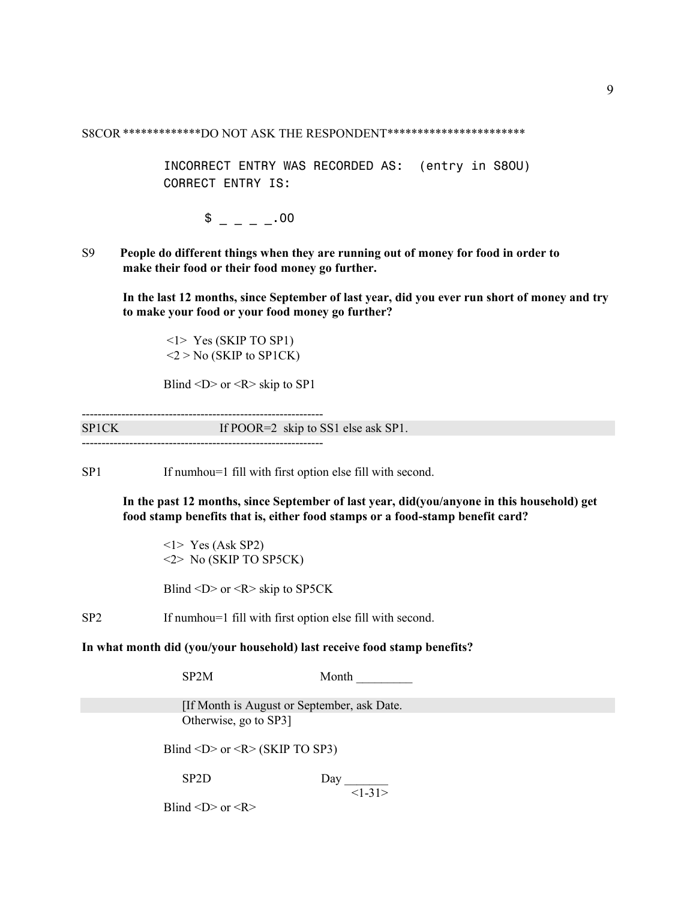S8COR \*\*\*\*\*\*\*\*\*\*\*\*\*DO NOT ASK THE RESPONDENT\*\*\*\*\*\*\*\*\*\*\*\*\*\*\*\*\*\*\*\*\*\*\*

INCORRECT ENTRY WAS RECORDED AS: (entry in S8OU) CORRECT ENTRY IS:

 $\frac{1}{2}$  =  $\frac{1}{2}$  00

S9 **People do different things when they are running out of money for food in order to make their food or their food money go further.**

**In the last 12 months, since September of last year, did you ever run short of money and try to make your food or your food money go further?**

 <1> Yes (SKIP TO SP1)  $<$ 2 > No (SKIP to SP1CK)

Blind  $\langle D \rangle$  or  $\langle R \rangle$  skip to SP1

------------------------------------------------------------- SP1CK If POOR=2 skip to SS1 else ask SP1. -------------------------------------------------------------

SP1 If numhou=1 fill with first option else fill with second.

**In the past 12 months, since September of last year, did(you/anyone in this household) get food stamp benefits that is, either food stamps or a food-stamp benefit card?**

<1> Yes (Ask SP2) <2> No (SKIP TO SP5CK)

Blind  $\langle D \rangle$  or  $\langle R \rangle$  skip to SP5CK

SP2 If numhou=1 fill with first option else fill with second.

**In what month did (you/your household) last receive food stamp benefits?**

SP2M Month

 [If Month is August or September, ask Date. Otherwise, go to SP3]

Blind <D> or < $R$  < (SKIP TO SP3)

SP2D Day  $<1-31>$ 

Blind  $\langle D \rangle$  or  $\langle R \rangle$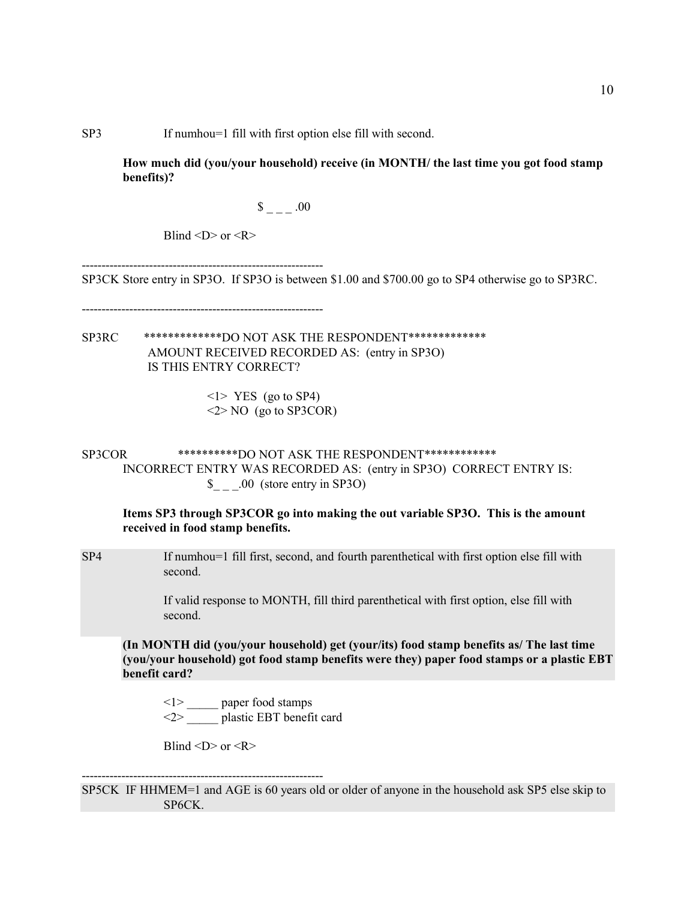SP3 If numhou=1 fill with first option else fill with second.

**How much did (you/your household) receive (in MONTH/ the last time you got food stamp benefits)?**

 $\frac{\$}{\$}$  \_ \_ \_ .00

Blind  $\langle D \rangle$  or  $\langle R \rangle$ 

------------------------------------------------------------- SP3CK Store entry in SP3O. If SP3O is between \$1.00 and \$700.00 go to SP4 otherwise go to SP3RC.

-------------------------------------------------------------

SP3RC \*\*\*\*\*\*\*\*\*\*\*\*\*DO NOT ASK THE RESPONDENT\*\*\*\*\*\*\*\*\*\*\*\*\* AMOUNT RECEIVED RECORDED AS: (entry in SP3O) IS THIS ENTRY CORRECT?

> <1> YES (go to SP4) <2> NO (go to SP3COR)

SP3COR \*\*\*\*\*\*\*\*\*\*DO NOT ASK THE RESPONDENT\*\*\*\*\*\*\*\*\*\*\*\* INCORRECT ENTRY WAS RECORDED AS: (entry in SP3O) CORRECT ENTRY IS: \$ .00 (store entry in SP3O)

**Items SP3 through SP3COR go into making the out variable SP3O. This is the amount received in food stamp benefits.**

SP4 If numhou=1 fill first, second, and fourth parenthetical with first option else fill with second.

> If valid response to MONTH, fill third parenthetical with first option, else fill with second.

**(In MONTH did (you/your household) get (your/its) food stamp benefits as/ The last time (you/your household) got food stamp benefits were they) paper food stamps or a plastic EBT benefit card?**

<1> \_\_\_\_\_ paper food stamps  $\langle 2 \rangle$  plastic EBT benefit card

Blind  $\langle D \rangle$  or  $\langle R \rangle$ 

------------------------------------------------------------- SP5CK IF HHMEM=1 and AGE is 60 years old or older of anyone in the household ask SP5 else skip to SP6CK.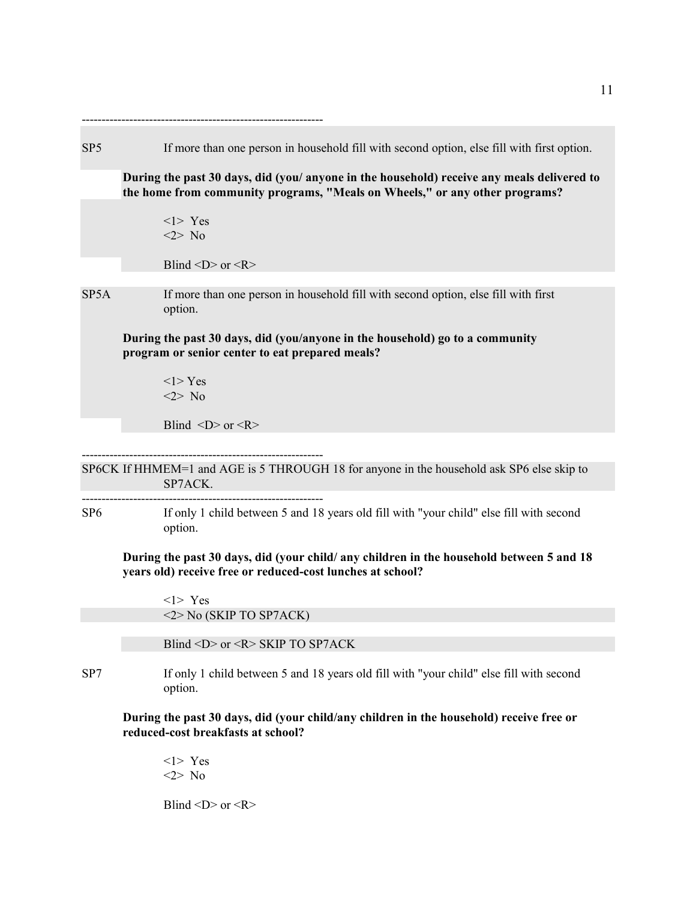| SP <sub>5</sub> | If more than one person in household fill with second option, else fill with first option.                                                                                |
|-----------------|---------------------------------------------------------------------------------------------------------------------------------------------------------------------------|
|                 | During the past 30 days, did (you/ anyone in the household) receive any meals delivered to<br>the home from community programs, "Meals on Wheels," or any other programs? |
|                 | $<$ 1> Yes<br>$<2>$ No                                                                                                                                                    |
|                 | Blind < $D$ > or < $R$ >                                                                                                                                                  |
| SP5A            | If more than one person in household fill with second option, else fill with first<br>option.                                                                             |
|                 | During the past 30 days, did (you/anyone in the household) go to a community<br>program or senior center to eat prepared meals?                                           |
|                 | $<$ l>Yes<br>$<2>$ No                                                                                                                                                     |
|                 | Blind $\langle D \rangle$ or $\langle R \rangle$                                                                                                                          |
|                 |                                                                                                                                                                           |
|                 | SP6CK If HHMEM=1 and AGE is 5 THROUGH 18 for anyone in the household ask SP6 else skip to<br>SP7ACK.                                                                      |
| SP6             | ------------------------------------<br>If only 1 child between 5 and 18 years old fill with "your child" else fill with second<br>option.                                |
|                 | During the past 30 days, did (your child/ any children in the household between 5 and 18<br>years old) receive free or reduced-cost lunches at school?                    |
|                 | $<1>$ Yes<br>$\langle 2 \rangle$ No (SKIP TO SP7ACK)                                                                                                                      |
|                 | Blind <d> or <r> SKIP TO SP7ACK</r></d>                                                                                                                                   |
| SP7             | If only 1 child between 5 and 18 years old fill with "your child" else fill with second<br>option.                                                                        |
|                 | During the past 30 days, did (your child/any children in the household) receive free or<br>reduced-cost breakfasts at school?                                             |
|                 | $\langle$ 1> Yes<br>$<2>$ No                                                                                                                                              |

Blind  $\langle D \rangle$  or  $\langle R \rangle$ 

11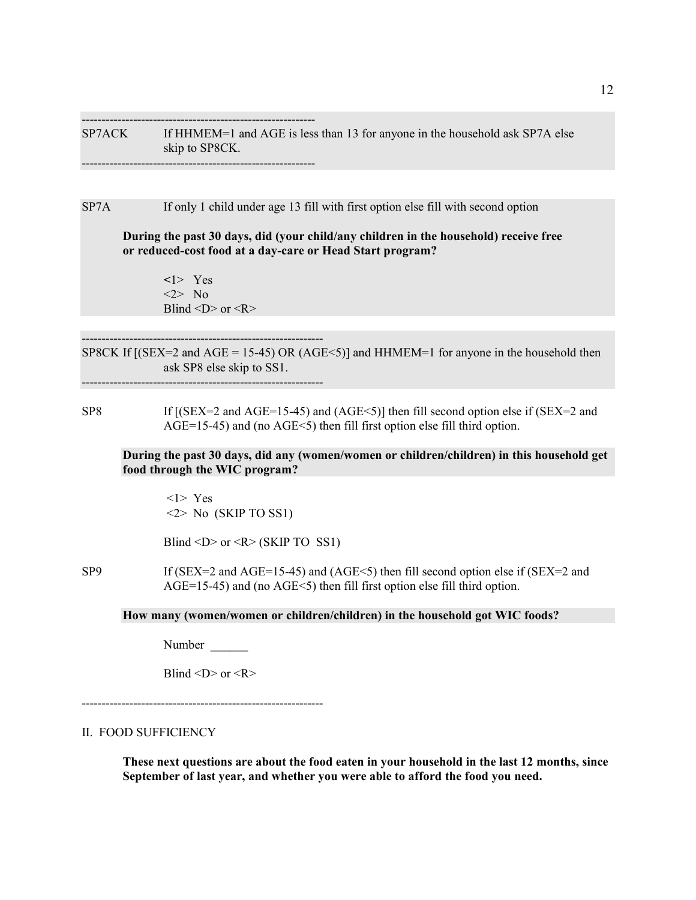----------------------------------------------------------- SP7ACK If HHMEM=1 and AGE is less than 13 for anyone in the household ask SP7A else skip to SP8CK. -----------------------------------------------------------

SP7A If only 1 child under age 13 fill with first option else fill with second option

 **During the past 30 days, did (your child/any children in the household) receive free or reduced-cost food at a day-care or Head Start program?**

**<**1> Yes  $\langle 2 \rangle$  No Blind  $\langle D \rangle$  or  $\langle R \rangle$ 

-------------------------------------------------------------

SP8CK If  $[(SEX=2 \text{ and } AGE = 15-45) \text{ OR } (AGE<5)]$  and HHMEM=1 for anyone in the household then ask SP8 else skip to SS1.

-------------------------------------------------------------

SP8 If  $[(SEX=2 \text{ and } AGE=15-45) \text{ and } (AGE<5)]$  then fill second option else if  $SEX=2$  and AGE=15-45) and (no AGE<5) then fill first option else fill third option.

**During the past 30 days, did any (women/women or children/children) in this household get food through the WIC program?**

 <1> Yes  $\langle 2 \rangle$  No (SKIP TO SS1)

Blind <D> or <R> (SKIP TO SS1)

SP9 If (SEX=2 and AGE=15-45) and (AGE<5) then fill second option else if (SEX=2 and AGE=15-45) and (no AGE<5) then fill first option else fill third option.

**How many (women/women or children/children) in the household got WIC foods?**

Number  $\blacksquare$ 

Blind  $\langle D \rangle$  or  $\langle R \rangle$ 

-------------------------------------------------------------

#### II. FOOD SUFFICIENCY

**These next questions are about the food eaten in your household in the last 12 months, since September of last year, and whether you were able to afford the food you need.**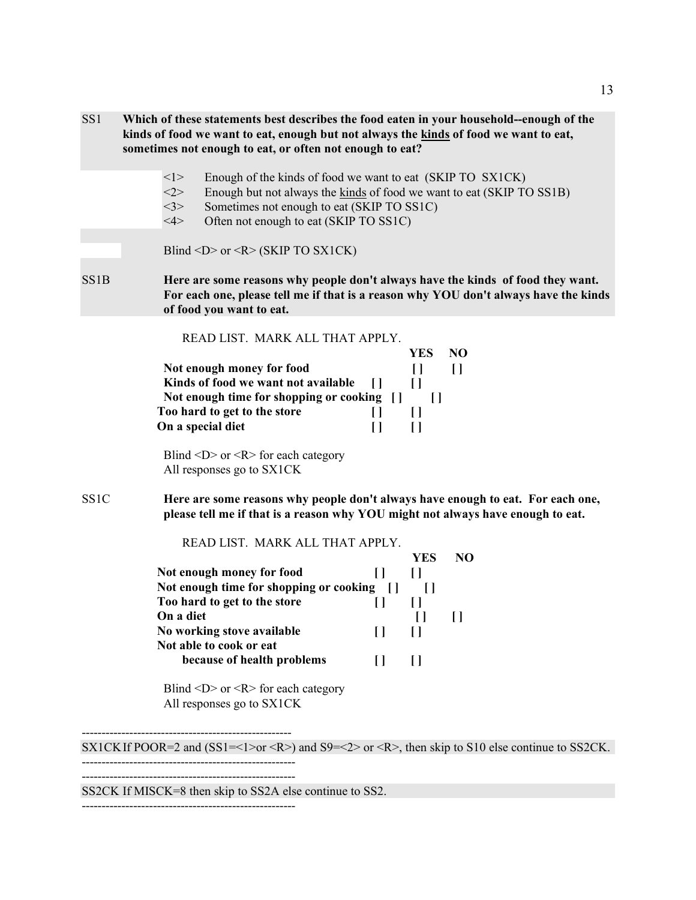| SS <sub>1</sub>   | Which of these statements best describes the food eaten in your household--enough of the<br>kinds of food we want to eat, enough but not always the kinds of food we want to eat,<br>sometimes not enough to eat, or often not enough to eat?                                               |                                      |
|-------------------|---------------------------------------------------------------------------------------------------------------------------------------------------------------------------------------------------------------------------------------------------------------------------------------------|--------------------------------------|
|                   | <1><br>Enough of the kinds of food we want to eat (SKIP TO SX1CK)<br><2><br>Enough but not always the kinds of food we want to eat (SKIP TO SS1B)<br><3><br>Sometimes not enough to eat (SKIP TO SS1C)<br>4><br>Often not enough to eat (SKIP TO SS1C)                                      |                                      |
|                   | Blind <d> or <r> (SKIP TO SX1CK)</r></d>                                                                                                                                                                                                                                                    |                                      |
| SS <sub>1</sub> B | Here are some reasons why people don't always have the kinds of food they want.<br>For each one, please tell me if that is a reason why YOU don't always have the kinds<br>of food you want to eat.                                                                                         |                                      |
|                   | READ LIST. MARK ALL THAT APPLY.<br><b>YES</b><br>Not enough money for food<br>$\Box$<br>Kinds of food we want not available<br>$\prod$<br>$\Box$<br>Not enough time for shopping or cooking []<br>Too hard to get to the store<br>$\Box$<br>$\Box$<br>On a special diet<br>$\Box$<br>$\Box$ | N <sub>O</sub><br>$\prod$<br>$\prod$ |
|                   | Blind <d> or &lt;<math>R</math>&gt; for each category<br/>All responses go to SX1CK</d>                                                                                                                                                                                                     |                                      |
| SS1C              | Here are some reasons why people don't always have enough to eat. For each one,<br>please tell me if that is a reason why YOU might not always have enough to eat.                                                                                                                          |                                      |
|                   | READ LIST. MARK ALL THAT APPLY.<br><b>YES</b><br>Not enough money for food<br>[ ]<br>$[$<br>Not enough time for shopping or cooking<br>- []                                                                                                                                                 | N <sub>O</sub><br>$\Box$             |
|                   | Too hard to get to the store<br>$\Box$<br>$\Box$<br>On a diet<br>No working stove available<br>$\Box$<br>$\prod$<br>Not able to cook or eat<br>because of health problems<br>$\Box$<br>$[ \ ]$                                                                                              | [ ]                                  |
|                   | Blind $\langle D \rangle$ or $\langle R \rangle$ for each category<br>All responses go to SX1CK                                                                                                                                                                                             |                                      |
|                   | SX1CK If POOR=2 and (SS1=<1>or <r>) and S9=&lt;2&gt; or <r>, then skip to S10 else continue to SS2CK.</r></r>                                                                                                                                                                               |                                      |
|                   |                                                                                                                                                                                                                                                                                             |                                      |

SS2CK If MISCK=8 then skip to SS2A else continue to SS2.

------------------------------------------------------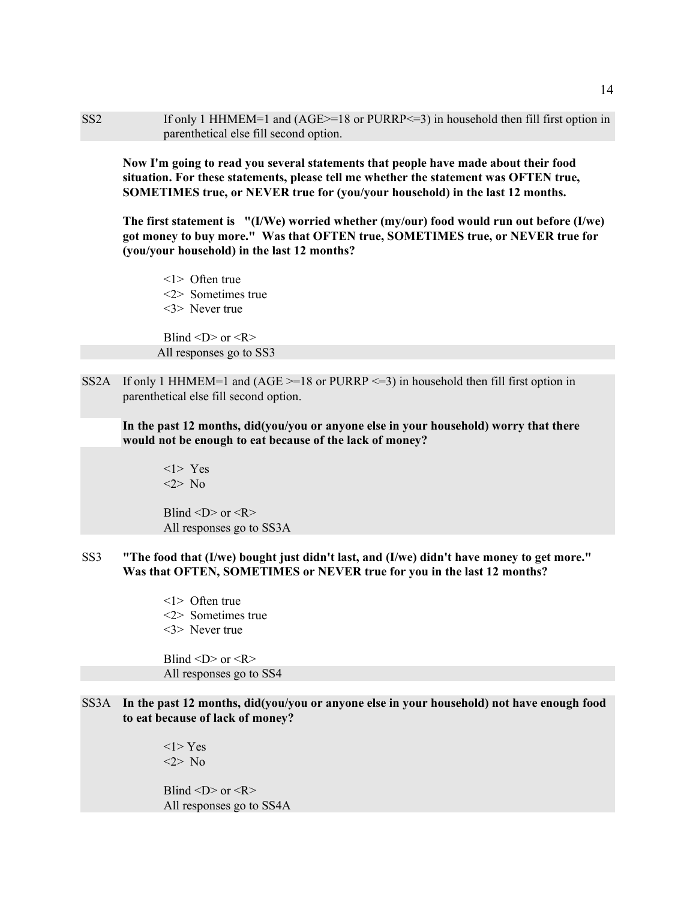SS2 If only 1 HHMEM=1 and (AGE>=18 or PURRP<=3) in household then fill first option in parenthetical else fill second option.

 **Now I'm going to read you several statements that people have made about their food situation. For these statements, please tell me whether the statement was OFTEN true, SOMETIMES true, or NEVER true for (you/your household) in the last 12 months.**

**The first statement is "(I/We) worried whether (my/our) food would run out before (I/we) got money to buy more." Was that OFTEN true, SOMETIMES true, or NEVER true for (you/your household) in the last 12 months?**

<1> Often true <2> Sometimes true <3> Never true

Blind  $\langle D \rangle$  or  $\langle R \rangle$ All responses go to SS3

SS2A If only 1 HHMEM=1 and  $(AGE = 18$  or PURRP  $\leq 3$ ) in household then fill first option in parenthetical else fill second option.

**In the past 12 months, did(you/you or anyone else in your household) worry that there would not be enough to eat because of the lack of money?**

<1> Yes <2> No

Blind  $\langle D \rangle$  or  $\langle R \rangle$ All responses go to SS3A

- SS3 **"The food that (I/we) bought just didn't last, and (I/we) didn't have money to get more." Was that OFTEN, SOMETIMES or NEVER true for you in the last 12 months?**
	- <1> Often true <2> Sometimes true <3> Never true

Blind  $\langle D \rangle$  or  $\langle R \rangle$ All responses go to SS4

SS3A **In the past 12 months, did(you/you or anyone else in your household) not have enough food to eat because of lack of money?**

> <1> Yes <2> No

Blind  $\langle D \rangle$  or  $\langle R \rangle$ All responses go to SS4A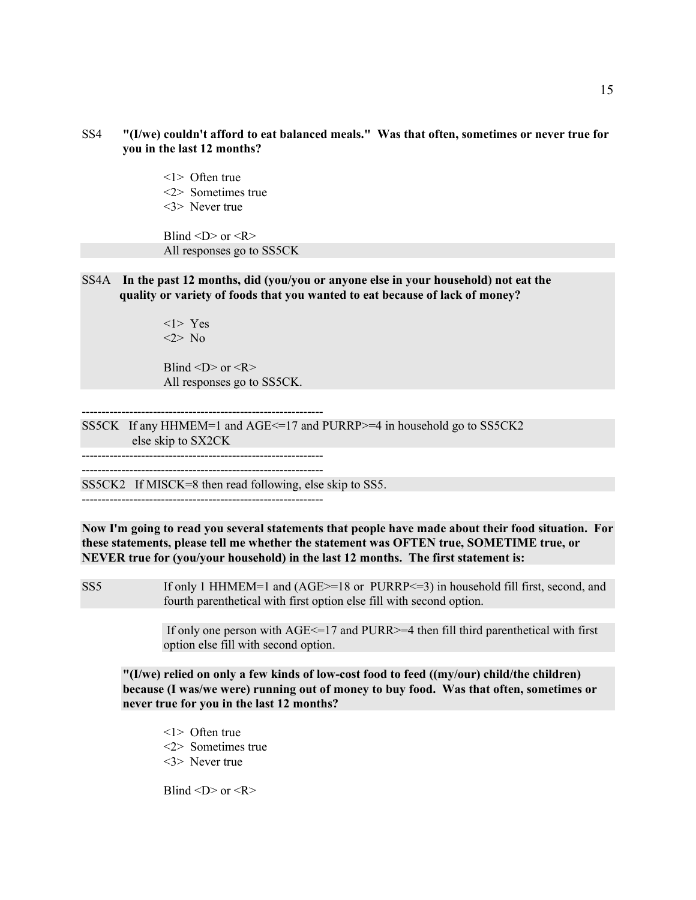- SS4 **"(I/we) couldn't afford to eat balanced meals." Was that often, sometimes or never true for you in the last 12 months?**
	- <1> Often true
	- <2> Sometimes true
	- <3> Never true

Blind  $\langle D \rangle$  or  $\langle R \rangle$ All responses go to SS5CK

SS4A **In the past 12 months, did (you/you or anyone else in your household) not eat the quality or variety of foods that you wanted to eat because of lack of money?**

> <1> Yes <2> No

Blind  $\langle D \rangle$  or  $\langle R \rangle$ All responses go to SS5CK.

SS5CK If any HHMEM=1 and AGE<=17 and PURRP>=4 in household go to SS5CK2 else skip to SX2CK

-------------------------------------------------------------

-------------------------------------------------------------

SS5CK2 If MISCK=8 then read following, else skip to SS5.

-------------------------------------------------------------

**Now I'm going to read you several statements that people have made about their food situation. For these statements, please tell me whether the statement was OFTEN true, SOMETIME true, or NEVER true for (you/your household) in the last 12 months. The first statement is:**

SS5 If only 1 HHMEM=1 and (AGE>=18 or PURRP<=3) in household fill first, second, and fourth parenthetical with first option else fill with second option.

> If only one person with  $\text{AGE} \leq 17$  and PURR $\geq 4$  then fill third parenthetical with first option else fill with second option.

**"(I/we) relied on only a few kinds of low-cost food to feed ((my/our) child/the children) because (I was/we were) running out of money to buy food. Was that often, sometimes or never true for you in the last 12 months?**

- <1> Often true
- <2> Sometimes true
- <3> Never true

Blind  $\langle D \rangle$  or  $\langle R \rangle$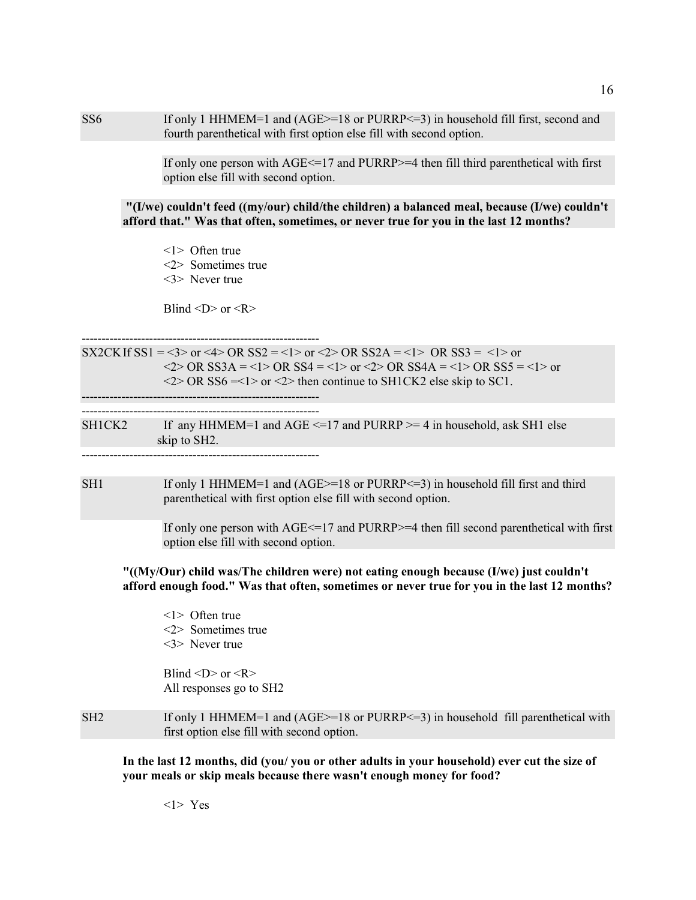SS6 If only 1 HHMEM=1 and (AGE>=18 or PURRP<=3) in household fill first, second and fourth parenthetical with first option else fill with second option.

> If only one person with AGE<=17 and PURRP>=4 then fill third parenthetical with first option else fill with second option.

**"(I/we) couldn't feed ((my/our) child/the children) a balanced meal, because (I/we) couldn't afford that." Was that often, sometimes, or never true for you in the last 12 months?**

<1> Often true <2> Sometimes true <3> Never true

Blind  $\langle D \rangle$  or  $\langle R \rangle$ 

------------------------------------------------------------ SX2CK If  $SS1 = 3$  or  $4 > OR$   $SS2 = 1 > 0r$   $SS2A = 1 > OR$   $SS3 = 1 > 0r$  $\langle 2 \rangle$  OR SS3A =  $\langle 1 \rangle$  OR SS4 =  $\langle 1 \rangle$  or  $\langle 2 \rangle$  OR SS4A =  $\langle 1 \rangle$  OR SS5 =  $\langle 1 \rangle$  or  $\langle 2 \rangle$  OR SS6 = < 1 > or  $\langle 2 \rangle$  then continue to SH1CK2 else skip to SC1.

------------------------------------------------------------ ------------------------------------------------------------

| SH1CK2 | If any HHMEM=1 and AGE $\le$ =17 and PURRP $\ge$ =4 in household, ask SH1 else |
|--------|--------------------------------------------------------------------------------|
|        | skip to SH2.                                                                   |
|        |                                                                                |

SH1 If only 1 HHMEM=1 and (AGE>=18 or PURRP<=3) in household fill first and third parenthetical with first option else fill with second option.

> If only one person with  $\text{AGE} \leq 17$  and PURRP $\geq 4$  then fill second parenthetical with first option else fill with second option.

**"((My/Our) child was/The children were) not eating enough because (I/we) just couldn't afford enough food." Was that often, sometimes or never true for you in the last 12 months?**

<1> Often true <2> Sometimes true <3> Never true

Blind  $\langle D \rangle$  or  $\langle R \rangle$ All responses go to SH2

SH2 If only 1 HHMEM=1 and (AGE>=18 or PURRP<=3) in household fill parenthetical with first option else fill with second option.

**In the last 12 months, did (you/ you or other adults in your household) ever cut the size of your meals or skip meals because there wasn't enough money for food?**

16

<1> Yes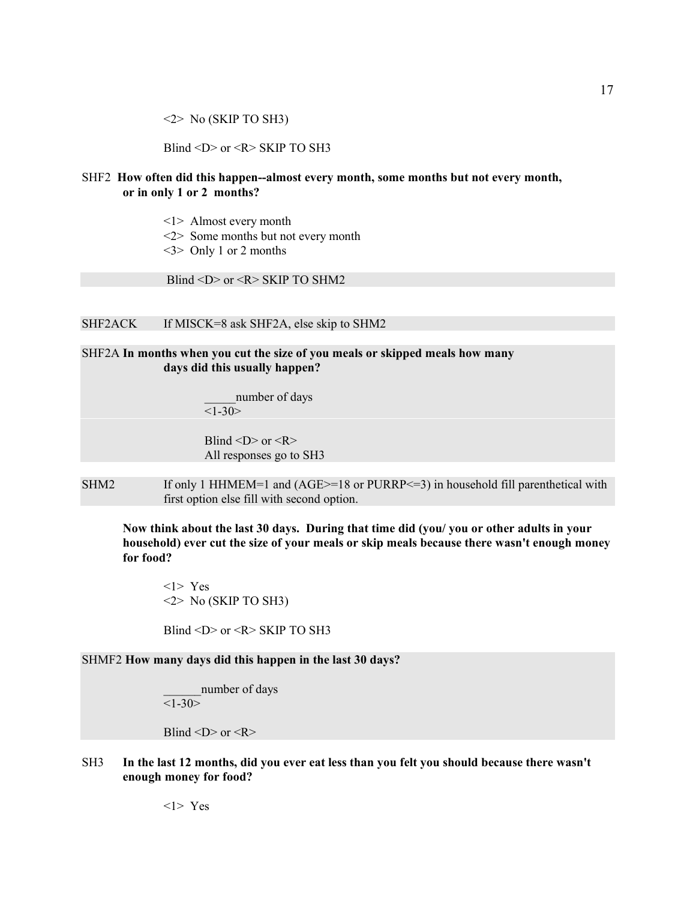$\langle 2 \rangle$  No (SKIP TO SH3)

Blind <D> or <R> SKIP TO SH3

### SHF2 **How often did this happen--almost every month, some months but not every month, or in only 1 or 2 months?**

- <1> Almost every month
- <2> Some months but not every month
- $\langle 3 \rangle$  Only 1 or 2 months

Blind <D> or <R> SKIP TO SHM2

### SHF2ACK If MISCK=8 ask SHF2A, else skip to SHM2

SHF2A **In months when you cut the size of you meals or skipped meals how many days did this usually happen?**

> number of days  $<1 - 30$

Blind  $\langle D \rangle$  or  $\langle R \rangle$ All responses go to SH3

SHM2 If only 1 HHMEM=1 and (AGE>=18 or PURRP<=3) in household fill parenthetical with first option else fill with second option.

**Now think about the last 30 days. During that time did (you/ you or other adults in your household) ever cut the size of your meals or skip meals because there wasn't enough money for food?**

<1> Yes  $\langle 2 \rangle$  No (SKIP TO SH3)

Blind  $\langle D \rangle$  or  $\langle R \rangle$  SKIP TO SH3

SHMF2 **How many days did this happen in the last 30 days?**

number of days  $<1-30>$ 

Blind  $\langle D \rangle$  or  $\langle R \rangle$ 

SH3 **In the last 12 months, did you ever eat less than you felt you should because there wasn't enough money for food?**

<1> Yes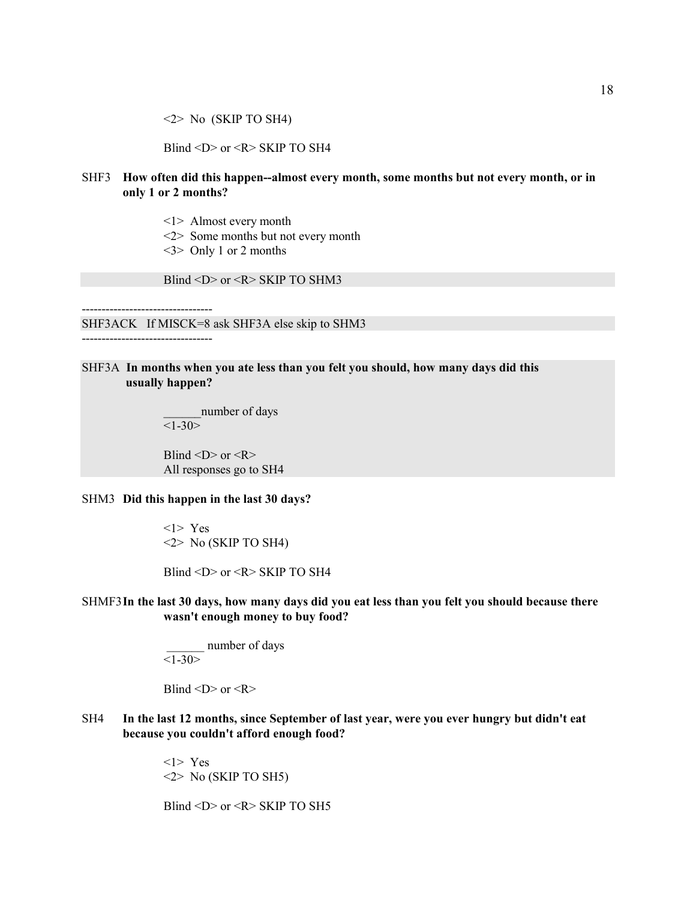<2> No (SKIP TO SH4)

Blind <D> or <R> SKIP TO SH4

### SHF3 **How often did this happen--almost every month, some months but not every month, or in only 1 or 2 months?**

- <1> Almost every month
- <2> Some months but not every month
- <3> Only 1 or 2 months

Blind <D> or <R> SKIP TO SHM3

---------------------------------

SHF3ACK If MISCK=8 ask SHF3A else skip to SHM3

---------------------------------

### SHF3A **In months when you ate less than you felt you should, how many days did this usually happen?**

number of days  $<1-30>$ 

Blind  $\langle D \rangle$  or  $\langle R \rangle$ All responses go to SH4

#### SHM3 **Did this happen in the last 30 days?**

<1> Yes <2> No (SKIP TO SH4)

Blind <D> or <R> SKIP TO SH4

### SHMF3**In the last 30 days, how many days did you eat less than you felt you should because there wasn't enough money to buy food?**

 \_\_\_\_\_\_ number of days  $\overline{1-30}$ 

Blind  $\langle D \rangle$  or  $\langle R \rangle$ 

SH4 **In the last 12 months, since September of last year, were you ever hungry but didn't eat because you couldn't afford enough food?**

> <1> Yes  $\langle 2 \rangle$  No (SKIP TO SH5)

Blind <D> or <R> SKIP TO SH5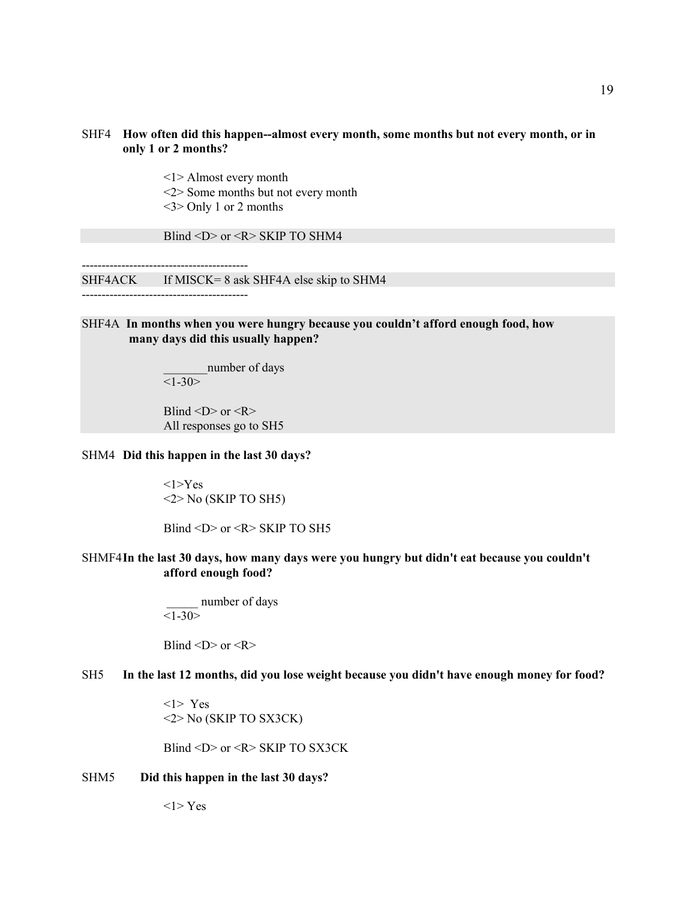### SHF4 **How often did this happen--almost every month, some months but not every month, or in only 1 or 2 months?**

<1> Almost every month

- <2> Some months but not every month
- <3> Only 1 or 2 months

Blind <D> or <R> SKIP TO SHM4

------------------------------------------ SHF4ACK If MISCK= 8 ask SHF4A else skip to SHM4 ------------------------------------------

### SHF4A **In months when you were hungry because you couldn't afford enough food, how many days did this usually happen?**

number of days  $\overline{\langle 1-30\rangle}$ 

Blind  $\langle D \rangle$  or  $\langle R \rangle$ All responses go to SH5

#### SHM4 **Did this happen in the last 30 days?**

 $<1>Yes$ <2> No (SKIP TO SH5)

Blind  $\langle D \rangle$  or  $\langle R \rangle$  SKIP TO SH5

### SHMF4**In the last 30 days, how many days were you hungry but didn't eat because you couldn't afford enough food?**

number of days  $<1-30>$ 

Blind  $\langle D \rangle$  or  $\langle R \rangle$ 

## SH5 **In the last 12 months, did you lose weight because you didn't have enough money for food?**

<1> Yes <2> No (SKIP TO SX3CK)

Blind <D> or <R> SKIP TO SX3CK

#### SHM5 **Did this happen in the last 30 days?**

 $<$ 1>Yes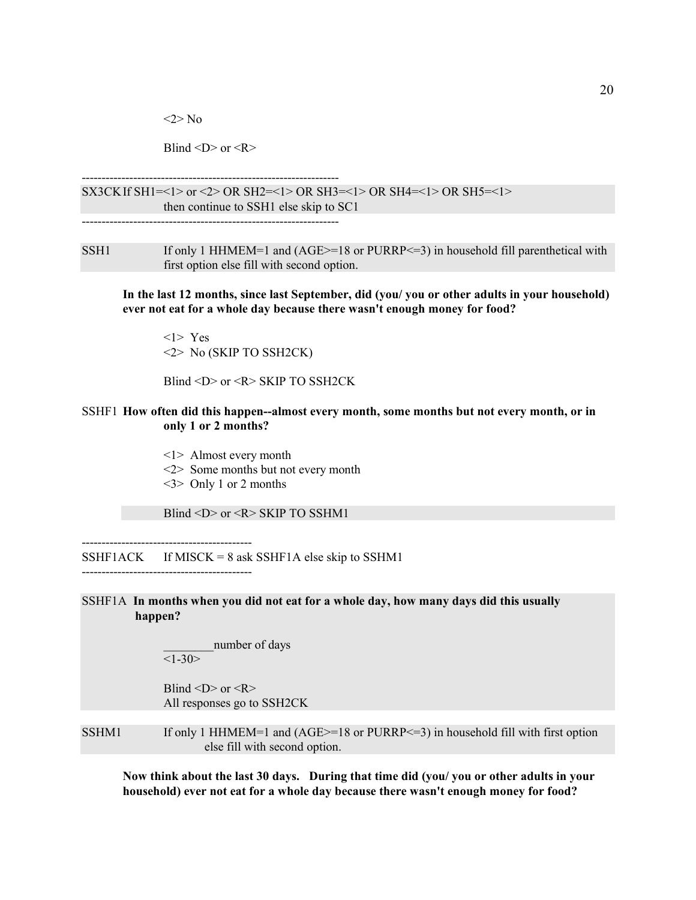<2> No

Blind  $\langle D \rangle$  or  $\langle R \rangle$ 

-----------------------------------------------------------------

SX3CKIf SH1=<1> or <2> OR SH2=<1> OR SH3=<1> OR SH4=<1> OR SH5=<1> then continue to SSH1 else skip to SC1

-----------------------------------------------------------------

SSH1 If only 1 HHMEM=1 and  $(AGE>=18$  or PURRP $\leq=3$ ) in household fill parenthetical with first option else fill with second option.

**In the last 12 months, since last September, did (you/ you or other adults in your household) ever not eat for a whole day because there wasn't enough money for food?**

<1> Yes <2> No (SKIP TO SSH2CK)

Blind <D> or <R> SKIP TO SSH2CK

### SSHF1 **How often did this happen--almost every month, some months but not every month, or in only 1 or 2 months?**

- <1> Almost every month
- <2> Some months but not every month
- <3> Only 1 or 2 months

-------------------------------------------

Blind <D> or <R> SKIP TO SSHM1

SSHF1ACK If MISCK =  $8$  ask SSHF1A else skip to SSHM1 -------------------------------------------

SSHF1A **In months when you did not eat for a whole day, how many days did this usually happen?**

> number of days  $<1-30>$

Blind  $\langle D \rangle$  or  $\langle R \rangle$ All responses go to SSH2CK

SSHM1 If only 1 HHMEM=1 and  $(AGE>=18$  or PURRP $\leq=3$ ) in household fill with first option else fill with second option.

**Now think about the last 30 days. During that time did (you/ you or other adults in your household) ever not eat for a whole day because there wasn't enough money for food?**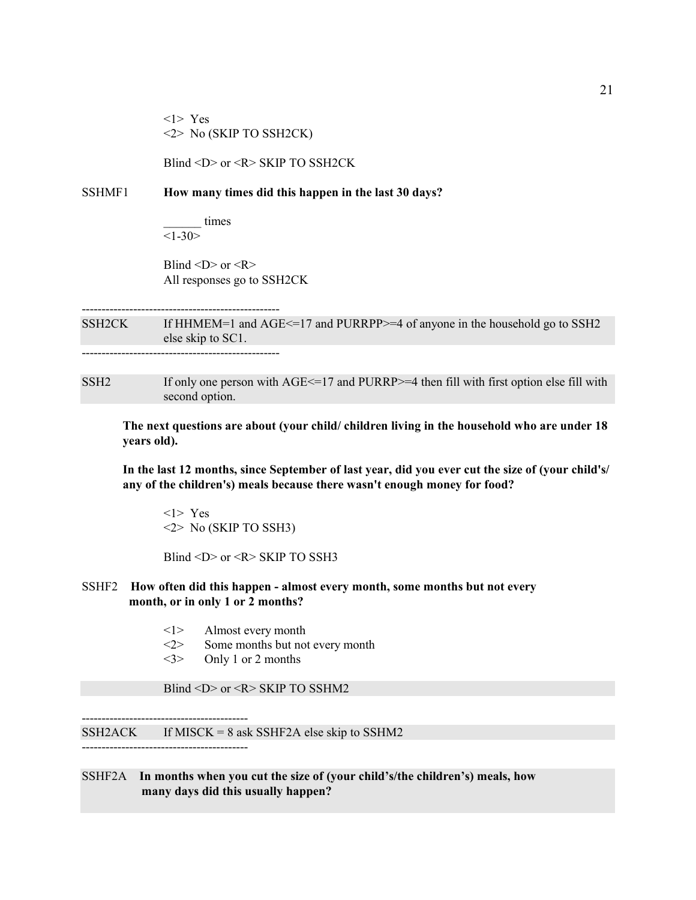<1> Yes <2> No (SKIP TO SSH2CK)

Blind <D> or <R> SKIP TO SSH2CK

#### SSHMF1 **How many times did this happen in the last 30 days?**

\_\_\_\_\_\_ times  $<1 - 30$ 

Blind  $\langle D \rangle$  or  $\langle R \rangle$ All responses go to SSH2CK

-------------------------------------------------- SSH2CK If HHMEM=1 and AGE <= 17 and PURRPP>=4 of anyone in the household go to SSH2 else skip to SC1. --------------------------------------------------

SSH2 If only one person with AGE  $\le$  =17 and PURRP $>$  =4 then fill with first option else fill with second option.

**The next questions are about (your child/ children living in the household who are under 18 years old).**

**In the last 12 months, since September of last year, did you ever cut the size of (your child's/ any of the children's) meals because there wasn't enough money for food?**

<1> Yes <2> No (SKIP TO SSH3)

Blind <D> or <R> SKIP TO SSH3

#### SSHF2 **How often did this happen - almost every month, some months but not every month, or in only 1 or 2 months?**

- <1> Almost every month
- <2> Some months but not every month
- <3> Only 1 or 2 months

------------------------------------------

------------------------------------------

Blind <D> or <R> SKIP TO SSHM2

 $SSH2ACK$  If MISCK = 8 ask SSHF2A else skip to SSHM2

### SSHF2A **In months when you cut the size of (your child's/the children's) meals, how many days did this usually happen?**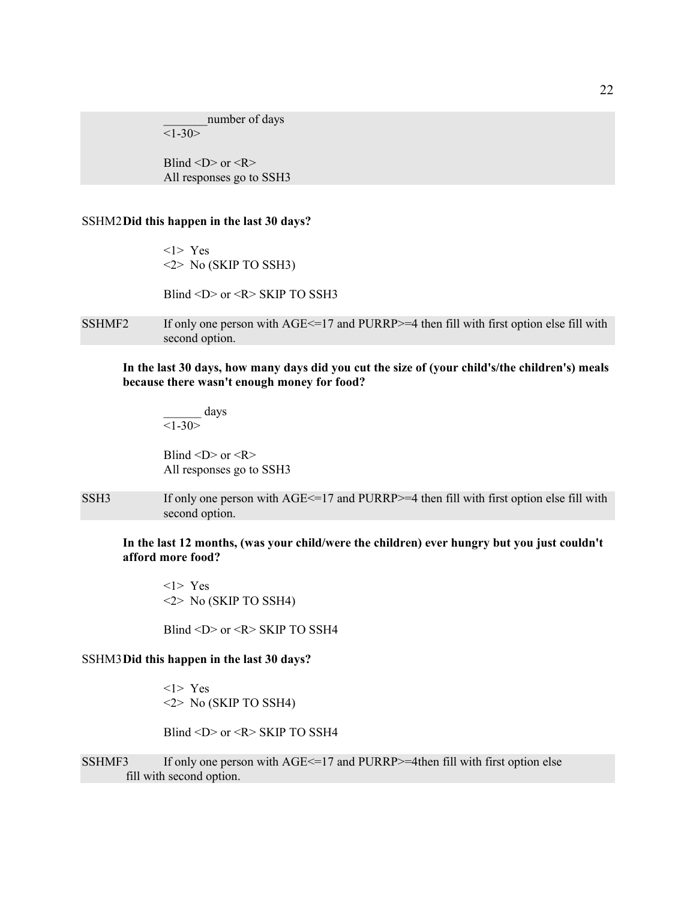number of days  $<1 - 30$ 

Blind  $\langle D \rangle$  or  $\langle R \rangle$ All responses go to SSH3

#### SSHM2**Did this happen in the last 30 days?**

<1> Yes <2> No (SKIP TO SSH3)

Blind <D> or <R> SKIP TO SSH3

SSHMF2 If only one person with  $\text{AGE} \leq 17$  and PURRP $\geq 4$  then fill with first option else fill with second option.

**In the last 30 days, how many days did you cut the size of (your child's/the children's) meals because there wasn't enough money for food?**

\_\_\_\_\_\_ days  $\overline{\langle 1-30\rangle}$ 

Blind  $\langle D \rangle$  or  $\langle R \rangle$ All responses go to SSH3

SSH3 If only one person with AGE<=17 and PURRP>=4 then fill with first option else fill with second option.

**In the last 12 months, (was your child/were the children) ever hungry but you just couldn't afford more food?**

<1> Yes <2> No (SKIP TO SSH4)

Blind <D> or <R> SKIP TO SSH4

#### SSHM3**Did this happen in the last 30 days?**

<1> Yes <2> No (SKIP TO SSH4)

Blind <D> or <R> SKIP TO SSH4

SSHMF3 If only one person with  $\text{AGE} \leq 17$  and PURRP $\geq 4$ then fill with first option else fill with second option.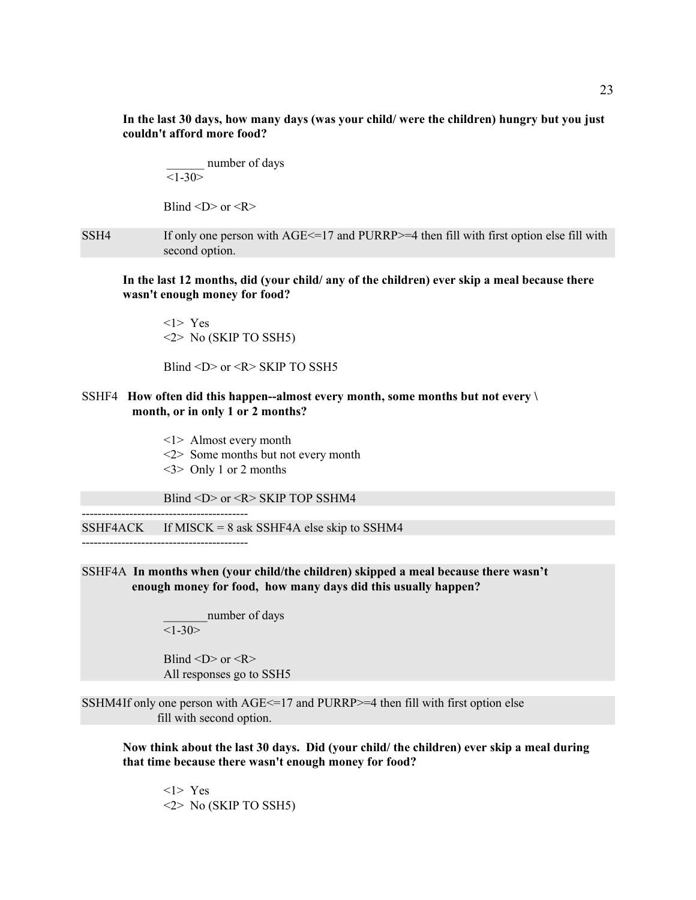**In the last 30 days, how many days (was your child/ were the children) hungry but you just couldn't afford more food?**

number of days  $\overline{\langle 1-30\rangle}$ 

Blind  $\langle D \rangle$  or  $\langle R \rangle$ 

SSH4 If only one person with  $\text{AGE} \leq 17$  and PURRP $> = 4$  then fill with first option else fill with second option.

**In the last 12 months, did (your child/ any of the children) ever skip a meal because there wasn't enough money for food?**

<1> Yes <2> No (SKIP TO SSH5)

Blind <D> or <R> SKIP TO SSH5

### SSHF4 **How often did this happen--almost every month, some months but not every \ month, or in only 1 or 2 months?**

- <1> Almost every month
- <2> Some months but not every month
- <3> Only 1 or 2 months

Blind <D> or <R> SKIP TOP SSHM4

 $SSHF4ACK$  If MISCK = 8 ask SSHF4A else skip to SSHM4

------------------------------------------

------------------------------------------

### SSHF4A **In months when (your child/the children) skipped a meal because there wasn't enough money for food, how many days did this usually happen?**

number of days  $<1 - 30$ 

Blind  $\langle D \rangle$  or  $\langle R \rangle$ All responses go to SSH5

SSHM4If only one person with AGE<=17 and PURRP>=4 then fill with first option else fill with second option.

**Now think about the last 30 days. Did (your child/ the children) ever skip a meal during that time because there wasn't enough money for food?**

<1> Yes <2> No (SKIP TO SSH5)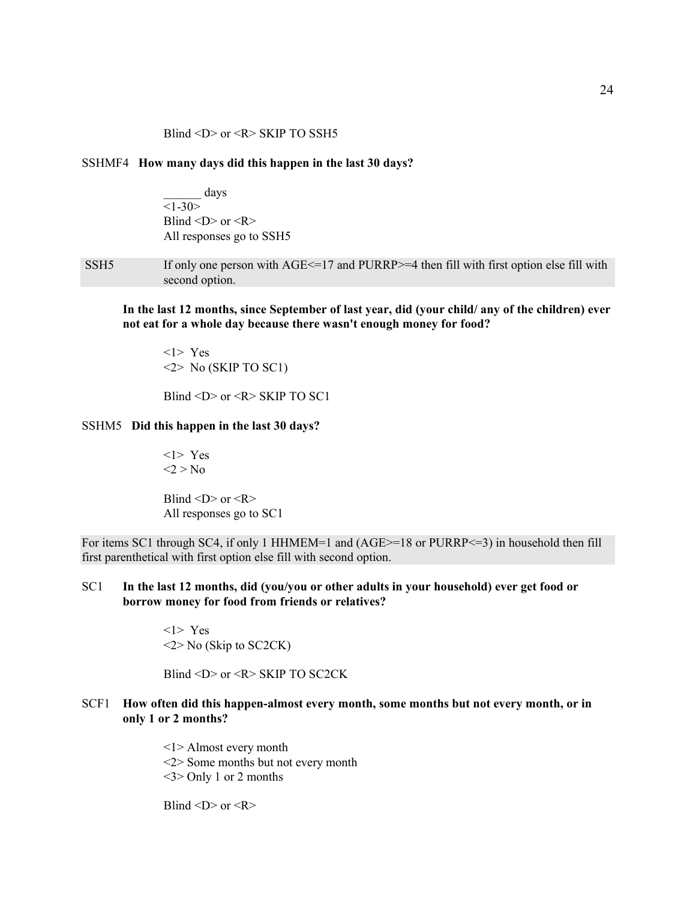### SSHMF4 **How many days did this happen in the last 30 days?**

\_\_\_\_\_\_ days  $<1 - 30$ Blind  $\langle D \rangle$  or  $\langle R \rangle$ All responses go to SSH5

SSH5 If only one person with AGE <= 17 and PURRP>=4 then fill with first option else fill with second option.

**In the last 12 months, since September of last year, did (your child/ any of the children) ever not eat for a whole day because there wasn't enough money for food?**

<1> Yes  $\langle 2 \rangle$  No (SKIP TO SC1)

Blind  $\langle D \rangle$  or  $\langle R \rangle$  SKIP TO SC1

#### SSHM5 **Did this happen in the last 30 days?**

<1> Yes  $<$ 2 > No

Blind  $\langle D \rangle$  or  $\langle R \rangle$ All responses go to SC1

For items SC1 through SC4, if only 1 HHMEM=1 and (AGE>=18 or PURRP<=3) in household then fill first parenthetical with first option else fill with second option.

SC1 **In the last 12 months, did (you/you or other adults in your household) ever get food or borrow money for food from friends or relatives?**

> <1> Yes  $\leq$  2> No (Skip to SC2CK)

Blind <D> or <R> SKIP TO SC2CK

SCF1 **How often did this happen-almost every month, some months but not every month, or in only 1 or 2 months?**

> <1> Almost every month <2> Some months but not every month <3> Only 1 or 2 months

Blind  $\langle D \rangle$  or  $\langle R \rangle$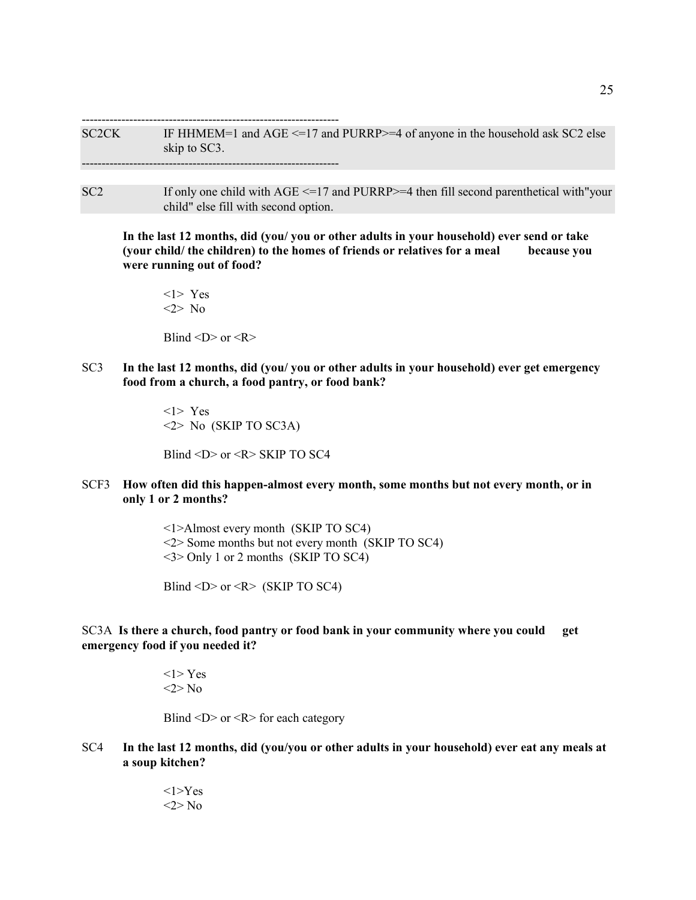----------------------------------------------------------------- SC2CK IF HHMEM=1 and  $\text{AGE} \leq 17$  and PURRP $>= 4$  of anyone in the household ask SC2 else skip to SC3. -----------------------------------------------------------------

 $SC2$  If only one child with  $AGE \leq 17$  and PURRP $>=$ 4 then fill second parenthetical with "your" child" else fill with second option.

**In the last 12 months, did (you/ you or other adults in your household) ever send or take (your child/ the children) to the homes of friends or relatives for a meal because you were running out of food?**

<1> Yes <2> No Blind  $\langle D \rangle$  or  $\langle R \rangle$ 

SC3 **In the last 12 months, did (you/ you or other adults in your household) ever get emergency food from a church, a food pantry, or food bank?**

> <1> Yes <2> No (SKIP TO SC3A)

Blind <D> or <R> SKIP TO SC4

SCF3 **How often did this happen-almost every month, some months but not every month, or in only 1 or 2 months?**

> <1>Almost every month (SKIP TO SC4) <2> Some months but not every month (SKIP TO SC4) <3> Only 1 or 2 months (SKIP TO SC4)

Blind <D> or <R> (SKIP TO SC4)

### SC3A **Is there a church, food pantry or food bank in your community where you could get emergency food if you needed it?**

 $<$ 1>Yes <2> No

Blind  $\langle D \rangle$  or  $\langle R \rangle$  for each category

SC4 **In the last 12 months, did (you/you or other adults in your household) ever eat any meals at a soup kitchen?**